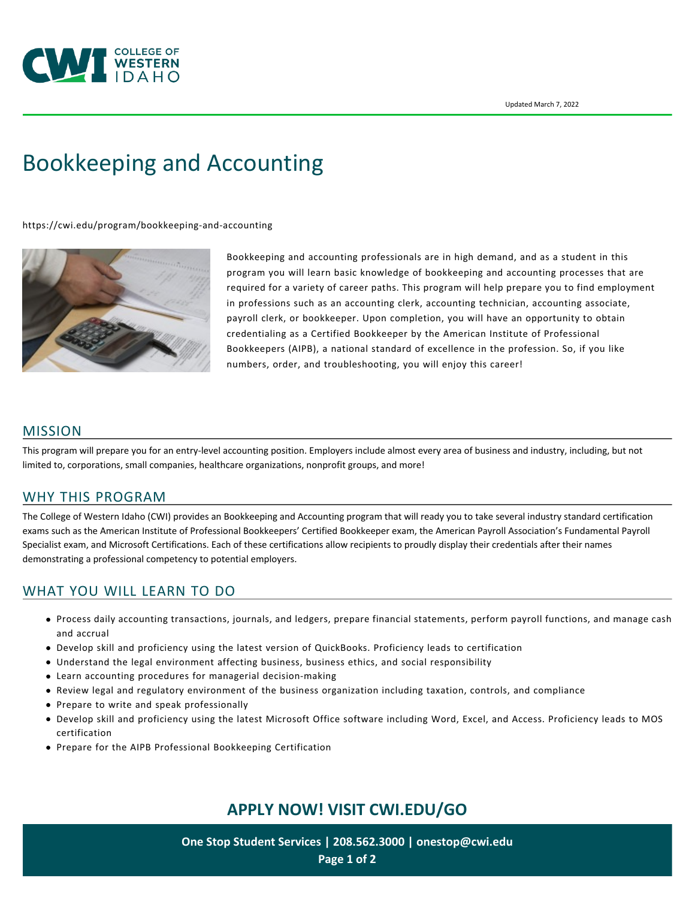

# [Bookkeeping and Accounting](https://cwi.edu/program/bookkeeping-and-accounting)

<https://cwi.edu/program/bookkeeping-and-accounting>



Bookkeeping and accounting professionals are in high demand, and as a student in this program you will learn basic knowledge of bookkeeping and accounting processes that are required for a variety of career paths. This program will help prepare you to find employment in professions such as an accounting clerk, accounting technician, accounting associate, payroll clerk, or bookkeeper. Upon completion, you will have an opportunity to obtain credentialing as a Certified Bookkeeper by the American Institute of Professional Bookkeepers (AIPB), a national standard of excellence in the profession. So, if you like numbers, order, and troubleshooting, you will enjoy this career!

## MISSION

This program will prepare you for an entry-level accounting position. Employers include almost every area of business and industry, including, but not limited to, corporations, small companies, healthcare organizations, nonprofit groups, and more!

## WHY THIS PROGRAM

The College of Western Idaho (CWI) provides an Bookkeeping and Accounting program that will ready you to take several industry standard certification exams such as the American Institute of Professional Bookkeepers' Certified Bookkeeper exam, the American Payroll Association's Fundamental Payroll Specialist exam, and Microsoft Certifications. Each of these certifications allow recipients to proudly display their credentials after their names demonstrating a professional competency to potential employers.

## WHAT YOU WILL LEARN TO DO

- Process daily accounting transactions, journals, and ledgers, prepare financial statements, perform payroll functions, and manage cash and accrual
- Develop skill and proficiency using the latest version of QuickBooks. Proficiency leads to certification
- Understand the legal environment affecting business, business ethics, and social responsibility
- Learn accounting procedures for managerial decision-making
- Review legal and regulatory environment of the business organization including taxation, controls, and compliance
- Prepare to write and speak professionally
- Develop skill and proficiency using the latest Microsoft Office software including Word, Excel, and Access. Proficiency leads to MOS certification
- Prepare for the AIPB Professional Bookkeeping Certification

# **APPLY NOW! VISIT [CWI.EDU/GO](http://cwi.edu/go)**

**One Stop Student Services | 208.562.3000 | [onestop@cwi.edu](mailto:onestop@cwi.edu) Page 1 of 2**